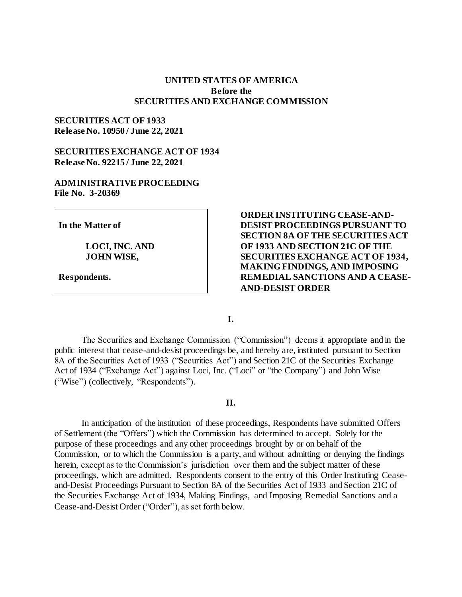# **UNITED STATES OF AMERICA Before the SECURITIES AND EXCHANGE COMMISSION**

# **SECURITIES ACT OF 1933 Release No. 10950 / June 22, 2021**

# **SECURITIES EXCHANGE ACT OF 1934 Release No. 92215 / June 22, 2021**

### **ADMINISTRATIVE PROCEEDING File No. 3-20369**

**In the Matter of**

**LOCI, INC. AND JOHN WISE,**

**Respondents.**

**ORDER INSTITUTING CEASE-AND-DESIST PROCEEDINGS PURSUANT TO SECTION 8A OF THE SECURITIES ACT OF 1933 AND SECTION 21C OF THE SECURITIES EXCHANGE ACT OF 1934, MAKING FINDINGS, AND IMPOSING REMEDIAL SANCTIONS AND A CEASE-AND-DESIST ORDER** 

**I.**

The Securities and Exchange Commission ("Commission") deems it appropriate and in the public interest that cease-and-desist proceedings be, and hereby are, instituted pursuant to Section 8A of the Securities Act of 1933 ("Securities Act") and Section 21C of the Securities Exchange Act of 1934 ("Exchange Act") against Loci, Inc. ("Loci" or "the Company") and John Wise ("Wise") (collectively, "Respondents").

# **II.**

In anticipation of the institution of these proceedings, Respondents have submitted Offers of Settlement (the "Offers") which the Commission has determined to accept. Solely for the purpose of these proceedings and any other proceedings brought by or on behalf of the Commission, or to which the Commission is a party, and without admitting or denying the findings herein, except as to the Commission's jurisdiction over them and the subject matter of these proceedings, which are admitted. Respondents consent to the entry of this Order Instituting Ceaseand-Desist Proceedings Pursuant to Section 8A of the Securities Act of 1933 and Section 21C of the Securities Exchange Act of 1934, Making Findings, and Imposing Remedial Sanctions and a Cease-and-Desist Order ("Order"), as set forth below.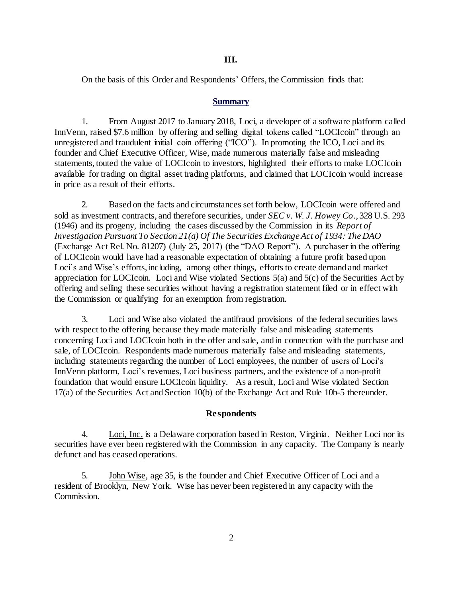### **III.**

On the basis of this Order and Respondents' Offers, the Commission finds that:

### **Summary**

1. From August 2017 to January 2018, Loci, a developer of a software platform called InnVenn, raised \$7.6 million by offering and selling digital tokens called "LOCIcoin" through an unregistered and fraudulent initial coin offering ("ICO"). In promoting the ICO, Loci and its founder and Chief Executive Officer, Wise, made numerous materially false and misleading statements, touted the value of LOCIcoin to investors, highlighted their efforts to make LOCIcoin available for trading on digital asset trading platforms, and claimed that LOCIcoin would increase in price as a result of their efforts.

2. Based on the facts and circumstances set forth below, LOCIcoin were offered and sold as investment contracts, and therefore securities, under *SEC v. W. J. Howey Co*., 328 U.S. 293 (1946) and its progeny, including the cases discussed by the Commission in its *Report of Investigation Pursuant To Section 21(a) Of The Securities Exchange Act of 1934: The DAO* (Exchange Act Rel. No. 81207) (July 25, 2017) (the "DAO Report"). A purchaser in the offering of LOCIcoin would have had a reasonable expectation of obtaining a future profit based upon Loci's and Wise's efforts, including, among other things, efforts to create demand and market appreciation for LOCIcoin. Loci and Wise violated Sections 5(a) and 5(c) of the Securities Act by offering and selling these securities without having a registration statement filed or in effect with the Commission or qualifying for an exemption from registration.

3. Loci and Wise also violated the antifraud provisions of the federal securities laws with respect to the offering because they made materially false and misleading statements concerning Loci and LOCIcoin both in the offer and sale, and in connection with the purchase and sale, of LOCIcoin. Respondents made numerous materially false and misleading statements, including statements regarding the number of Loci employees, the number of users of Loci's InnVenn platform, Loci's revenues, Loci business partners, and the existence of a non-profit foundation that would ensure LOCIcoin liquidity. As a result, Loci and Wise violated Section 17(a) of the Securities Act and Section 10(b) of the Exchange Act and Rule 10b-5 thereunder.

### **Respondents**

4. Loci, Inc. is a Delaware corporation based in Reston, Virginia. Neither Loci nor its securities have ever been registered with the Commission in any capacity. The Company is nearly defunct and has ceased operations.

5. John Wise, age 35, is the founder and Chief Executive Officer of Loci and a resident of Brooklyn, New York. Wise has never been registered in any capacity with the Commission.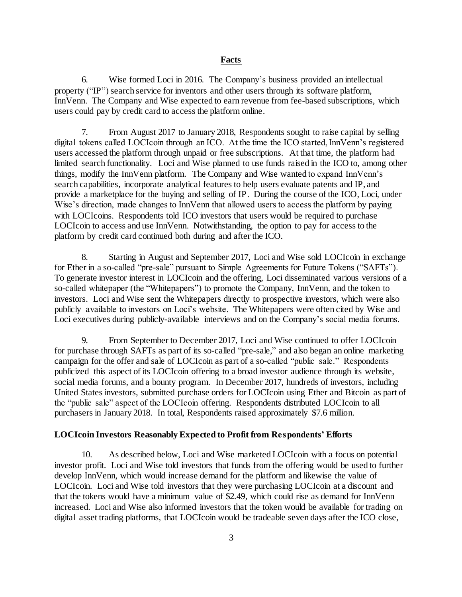#### **Facts**

6. Wise formed Loci in 2016. The Company's business provided an intellectual property ("IP") search service for inventors and other users through its software platform, InnVenn. The Company and Wise expected to earn revenue from fee-based subscriptions, which users could pay by credit card to access the platform online.

7. From August 2017 to January 2018, Respondents sought to raise capital by selling digital tokens called LOCIcoin through an ICO. At the time the ICO started, InnVenn's registered users accessed the platform through unpaid or free subscriptions. At that time, the platform had limited search functionality. Loci and Wise planned to use funds raised in the ICO to, among other things, modify the InnVenn platform. The Company and Wise wanted to expand InnVenn's search capabilities, incorporate analytical features to help users evaluate patents and IP, and provide a marketplace for the buying and selling of IP. During the course of the ICO, Loci, under Wise's direction, made changes to InnVenn that allowed users to access the platform by paying with LOCIcoins. Respondents told ICO investors that users would be required to purchase LOCIcoin to access and use InnVenn. Notwithstanding, the option to pay for access to the platform by credit card continued both during and after the ICO.

8. Starting in August and September 2017, Loci and Wise sold LOCIcoin in exchange for Ether in a so-called "pre-sale" pursuant to Simple Agreements for Future Tokens ("SAFTs"). To generate investor interest in LOCIcoin and the offering, Loci disseminated various versions of a so-called whitepaper (the "Whitepapers") to promote the Company, InnVenn, and the token to investors. Loci and Wise sent the Whitepapers directly to prospective investors, which were also publicly available to investors on Loci's website. The Whitepapers were often cited by Wise and Loci executives during publicly-available interviews and on the Company's social media forums.

9. From September to December 2017, Loci and Wise continued to offer LOCIcoin for purchase through SAFTs as part of its so-called "pre-sale," and also began an online marketing campaign for the offer and sale of LOCIcoin as part of a so-called "public sale." Respondents publicized this aspect of its LOCIcoin offering to a broad investor audience through its website, social media forums, and a bounty program. In December 2017, hundreds of investors, including United States investors, submitted purchase orders for LOCIcoin using Ether and Bitcoin as part of the "public sale" aspect of the LOCIcoin offering. Respondents distributed LOCIcoin to all purchasers in January 2018. In total, Respondents raised approximately \$7.6 million.

### **LOCIcoin Investors Reasonably Expected to Profit from Respondents' Efforts**

10. As described below, Loci and Wise marketed LOCIcoin with a focus on potential investor profit. Loci and Wise told investors that funds from the offering would be used to further develop InnVenn, which would increase demand for the platform and likewise the value of LOCIcoin. Loci and Wise told investors that they were purchasing LOCIcoin at a discount and that the tokens would have a minimum value of \$2.49, which could rise as demand for InnVenn increased. Loci and Wise also informed investors that the token would be available for trading on digital asset trading platforms, that LOCIcoin would be tradeable seven days after the ICO close,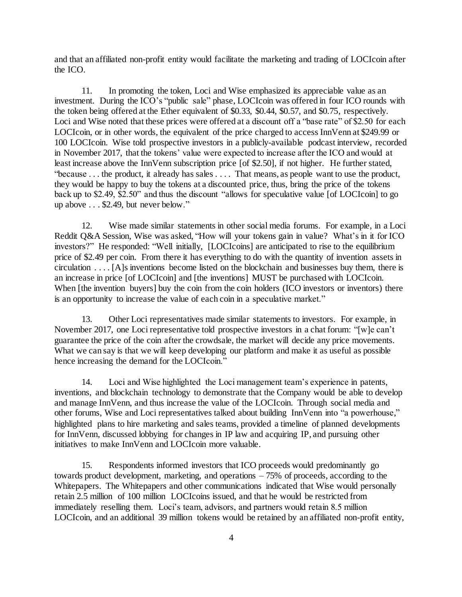and that an affiliated non-profit entity would facilitate the marketing and trading of LOCIcoin after the ICO.

11. In promoting the token, Loci and Wise emphasized its appreciable value as an investment. During the ICO's "public sale" phase, LOCIcoin was offered in four ICO rounds with the token being offered at the Ether equivalent of \$0.33, \$0.44, \$0.57, and \$0.75, respectively. Loci and Wise noted that these prices were offered at a discount off a "base rate" of \$2.50 for each LOCIcoin, or in other words, the equivalent of the price charged to access InnVenn at \$249.99 or 100 LOCIcoin. Wise told prospective investors in a publicly-available podcast interview, recorded in November 2017, that the tokens' value were expected to increase after the ICO and would at least increase above the InnVenn subscription price [of \$2.50], if not higher. He further stated, "because . . . the product, it already has sales . . . . That means, as people want to use the product, they would be happy to buy the tokens at a discounted price, thus, bring the price of the tokens back up to \$2.49, \$2.50" and thus the discount "allows for speculative value [of LOCIcoin] to go up above . . . \$2.49, but never below."

12. Wise made similar statements in other social media forums. For example, in a Loci Reddit Q&A Session, Wise was asked, "How will your tokens gain in value? What's in it for ICO investors?" He responded: "Well initially, [LOCIcoins] are anticipated to rise to the equilibrium price of \$2.49 per coin. From there it has everything to do with the quantity of invention assets in circulation . . . . [A]s inventions become listed on the blockchain and businesses buy them, there is an increase in price [of LOCIcoin] and [the inventions] MUST be purchased with LOCIcoin. When [the invention buyers] buy the coin from the coin holders (ICO investors or inventors) there is an opportunity to increase the value of each coin in a speculative market."

13. Other Loci representatives made similar statements to investors. For example, in November 2017, one Loci representative told prospective investors in a chat forum: "[w]e can't guarantee the price of the coin after the crowdsale, the market will decide any price movements. What we can say is that we will keep developing our platform and make it as useful as possible hence increasing the demand for the LOCIcoin."

14. Loci and Wise highlighted the Loci management team's experience in patents, inventions, and blockchain technology to demonstrate that the Company would be able to develop and manage InnVenn, and thus increase the value of the LOCIcoin. Through social media and other forums, Wise and Loci representatives talked about building InnVenn into "a powerhouse," highlighted plans to hire marketing and sales teams, provided a timeline of planned developments for InnVenn, discussed lobbying for changes in IP law and acquiring IP, and pursuing other initiatives to make InnVenn and LOCIcoin more valuable.

15. Respondents informed investors that ICO proceeds would predominantly go towards product development, marketing, and operations – 75% of proceeds, according to the Whitepapers. The Whitepapers and other communications indicated that Wise would personally retain 2.5 million of 100 million LOCIcoins issued, and that he would be restricted from immediately reselling them. Loci's team, advisors, and partners would retain 8.5 million LOCIcoin, and an additional 39 million tokens would be retained by an affiliated non-profit entity,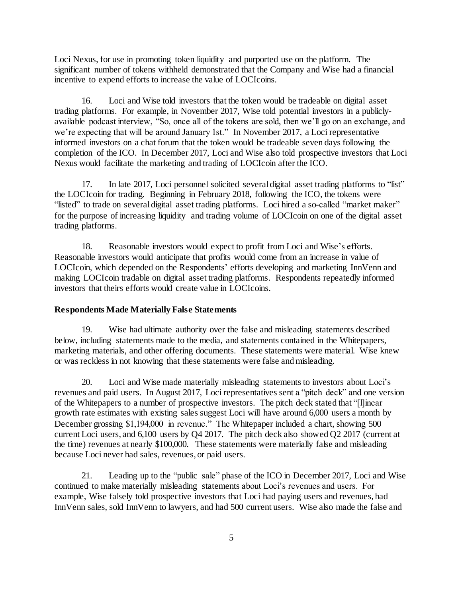Loci Nexus, for use in promoting token liquidity and purported use on the platform. The significant number of tokens withheld demonstrated that the Company and Wise had a financial incentive to expend efforts to increase the value of LOCIcoins.

16. Loci and Wise told investors that the token would be tradeable on digital asset trading platforms. For example, in November 2017, Wise told potential investors in a publiclyavailable podcast interview, "So, once all of the tokens are sold, then we'll go on an exchange, and we're expecting that will be around January 1st." In November 2017, a Loci representative informed investors on a chat forum that the token would be tradeable seven days following the completion of the ICO. In December 2017, Loci and Wise also told prospective investors that Loci Nexus would facilitate the marketing and trading of LOCIcoin after the ICO.

17. In late 2017, Loci personnel solicited several digital asset trading platforms to "list" the LOCIcoin for trading. Beginning in February 2018, following the ICO, the tokens were "listed" to trade on several digital asset trading platforms. Loci hired a so-called "market maker" for the purpose of increasing liquidity and trading volume of LOCIcoin on one of the digital asset trading platforms.

18. Reasonable investors would expect to profit from Loci and Wise's efforts. Reasonable investors would anticipate that profits would come from an increase in value of LOCIcoin, which depended on the Respondents' efforts developing and marketing InnVenn and making LOCIcoin tradable on digital asset trading platforms. Respondents repeatedly informed investors that theirs efforts would create value in LOCIcoins.

#### **Respondents Made Materially False Statements**

19. Wise had ultimate authority over the false and misleading statements described below, including statements made to the media, and statements contained in the Whitepapers, marketing materials, and other offering documents. These statements were material. Wise knew or was reckless in not knowing that these statements were false and misleading.

20. Loci and Wise made materially misleading statements to investors about Loci's revenues and paid users. In August 2017, Loci representatives sent a "pitch deck" and one version of the Whitepapers to a number of prospective investors. The pitch deck stated that "[l]inear growth rate estimates with existing sales suggest Loci will have around 6,000 users a month by December grossing \$1,194,000 in revenue." The Whitepaper included a chart, showing 500 current Loci users, and 6,100 users by Q4 2017. The pitch deck also showed Q2 2017 (current at the time) revenues at nearly \$100,000. These statements were materially false and misleading because Loci never had sales, revenues, or paid users.

21. Leading up to the "public sale" phase of the ICO in December 2017, Loci and Wise continued to make materially misleading statements about Loci's revenues and users. For example, Wise falsely told prospective investors that Loci had paying users and revenues, had InnVenn sales, sold InnVenn to lawyers, and had 500 current users. Wise also made the false and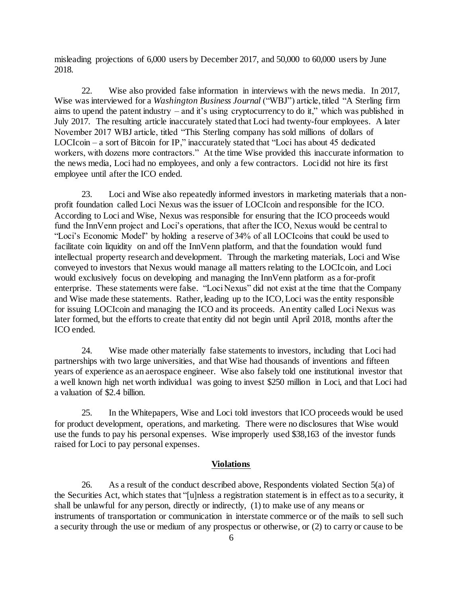misleading projections of 6,000 users by December 2017, and 50,000 to 60,000 users by June 2018.

22. Wise also provided false information in interviews with the news media. In 2017, Wise was interviewed for a *Washington Business Journal* ("WBJ") article, titled "A Sterling firm aims to upend the patent industry – and it's using cryptocurrency to do it," which was published in July 2017. The resulting article inaccurately stated that Loci had twenty-four employees. A later November 2017 WBJ article, titled "This Sterling company has sold millions of dollars of LOCIcoin – a sort of Bitcoin for IP," inaccurately stated that "Loci has about 45 dedicated workers, with dozens more contractors." At the time Wise provided this inaccurate information to the news media, Loci had no employees, and only a few contractors. Loci did not hire its first employee until after the ICO ended.

23. Loci and Wise also repeatedly informed investors in marketing materials that a nonprofit foundation called Loci Nexus was the issuer of LOCIcoin and responsible for the ICO. According to Loci and Wise, Nexus was responsible for ensuring that the ICO proceeds would fund the InnVenn project and Loci's operations, that after the ICO, Nexus would be central to "Loci's Economic Model" by holding a reserve of 34% of all LOCIcoins that could be used to facilitate coin liquidity on and off the InnVenn platform, and that the foundation would fund intellectual property research and development. Through the marketing materials, Loci and Wise conveyed to investors that Nexus would manage all matters relating to the LOCIcoin, and Loci would exclusively focus on developing and managing the InnVenn platform as a for-profit enterprise. These statements were false. "Loci Nexus" did not exist at the time that the Company and Wise made these statements. Rather, leading up to the ICO, Loci was the entity responsible for issuing LOCIcoin and managing the ICO and its proceeds. An entity called Loci Nexus was later formed, but the efforts to create that entity did not begin until April 2018, months after the ICO ended.

24. Wise made other materially false statements to investors, including that Loci had partnerships with two large universities, and that Wise had thousands of inventions and fifteen years of experience as an aerospace engineer. Wise also falsely told one institutional investor that a well known high net worth individual was going to invest \$250 million in Loci, and that Loci had a valuation of \$2.4 billion.

25. In the Whitepapers, Wise and Loci told investors that ICO proceeds would be used for product development, operations, and marketing. There were no disclosures that Wise would use the funds to pay his personal expenses. Wise improperly used \$38,163 of the investor funds raised for Loci to pay personal expenses.

#### **Violations**

26. As a result of the conduct described above, Respondents violated Section 5(a) of the Securities Act, which states that "[u]nless a registration statement is in effect as to a security, it shall be unlawful for any person, directly or indirectly, (1) to make use of any means or instruments of transportation or communication in interstate commerce or of the mails to sell such a security through the use or medium of any prospectus or otherwise, or (2) to carry or cause to be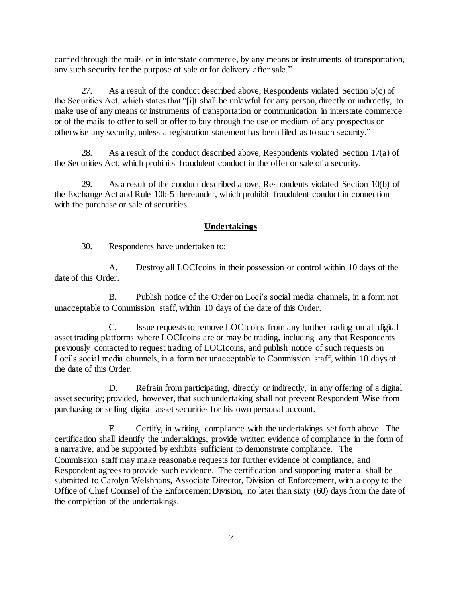carried through the mails or in interstate commerce, by any means or instruments of transportation, any such security for the purpose of sale or for delivery after sale."

27. As a result of the conduct described above, Respondents violated Section 5(c) of the Securities Act, which states that "[i]t shall be unlawful for any person, directly or indirectly, to make use of any means or instruments of transportation or communication in interstate commerce or of the mails to offer to sell or offer to buy through the use or medium of any prospectus or otherwise any security, unless a registration statement has been filed as to such security."

28. As a result of the conduct described above, Respondents violated Section 17(a) of the Securities Act, which prohibits fraudulent conduct in the offer or sale of a security.

29. As a result of the conduct described above, Respondents violated Section 10(b) of the Exchange Act and Rule 10b-5 thereunder, which prohibit fraudulent conduct in connection with the purchase or sale of securities.

# **Undertakings**

30. Respondents have undertaken to:

A. Destroy all LOCIcoins in their possession or control within 10 days of the date of this Order.

B. Publish notice of the Order on Loci's social media channels, in a form not unacceptable to Commission staff, within 10 days of the date of this Order.

C. Issue requests to remove LOCIcoins from any further trading on all digital asset trading platforms where LOCIcoins are or may be trading, including any that Respondents previously contacted to request trading of LOCIcoins, and publish notice of such requests on Loci's social media channels, in a form not unacceptable to Commission staff, within 10 days of the date of this Order.

D. Refrain from participating, directly or indirectly, in any offering of a digital asset security; provided, however, that such undertaking shall not prevent Respondent Wise from purchasing or selling digital asset securities for his own personal account.

E. Certify, in writing, compliance with the undertakings set forth above. The certification shall identify the undertakings, provide written evidence of compliance in the form of a narrative, and be supported by exhibits sufficient to demonstrate compliance. The Commission staff may make reasonable requests for further evidence of compliance, and Respondent agrees to provide such evidence. The certification and supporting material shall be submitted to Carolyn Welshhans, Associate Director, Division of Enforcement, with a copy to the Office of Chief Counsel of the Enforcement Division, no later than sixty (60) days from the date of the completion of the undertakings.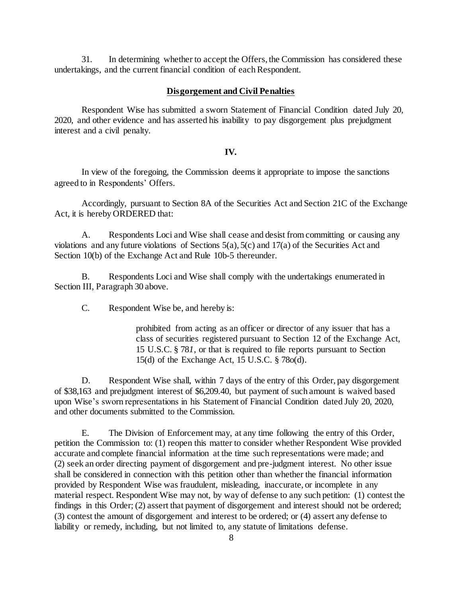31. In determining whether to accept the Offers, the Commission has considered these undertakings, and the current financial condition of each Respondent.

#### **Disgorgement and Civil Penalties**

Respondent Wise has submitted a sworn Statement of Financial Condition dated July 20, 2020, and other evidence and has asserted his inability to pay disgorgement plus prejudgment interest and a civil penalty*.*

#### **IV.**

In view of the foregoing, the Commission deems it appropriate to impose the sanctions agreed to in Respondents' Offers.

Accordingly, pursuant to Section 8A of the Securities Act and Section 21C of the Exchange Act, it is hereby ORDERED that:

A. Respondents Loci and Wise shall cease and desist from committing or causing any violations and any future violations of Sections 5(a), 5(c) and 17(a) of the Securities Act and Section 10(b) of the Exchange Act and Rule 10b-5 thereunder.

B. Respondents Loci and Wise shall comply with the undertakings enumerated in Section III, Paragraph 30 above.

C. Respondent Wise be, and hereby is:

prohibited from acting as an officer or director of any issuer that has a class of securities registered pursuant to Section 12 of the Exchange Act, 15 U.S.C. § 78*1*, or that is required to file reports pursuant to Section 15(d) of the Exchange Act, 15 U.S.C. § 78o(d).

D. Respondent Wise shall, within 7 days of the entry of this Order, pay disgorgement of \$38,163 and prejudgment interest of \$6,209.40, but payment of such amount is waived based upon Wise's sworn representations in his Statement of Financial Condition dated July 20, 2020, and other documents submitted to the Commission.

E. The Division of Enforcement may, at any time following the entry of this Order, petition the Commission to: (1) reopen this matter to consider whether Respondent Wise provided accurate and complete financial information at the time such representations were made; and (2) seek an order directing payment of disgorgement and pre-judgment interest. No other issue shall be considered in connection with this petition other than whether the financial information provided by Respondent Wise was fraudulent, misleading, inaccurate, or incomplete in any material respect. Respondent Wise may not, by way of defense to any such petition: (1) contest the findings in this Order; (2) assert that payment of disgorgement and interest should not be ordered; (3) contest the amount of disgorgement and interest to be ordered; or (4) assert any defense to liability or remedy, including, but not limited to, any statute of limitations defense.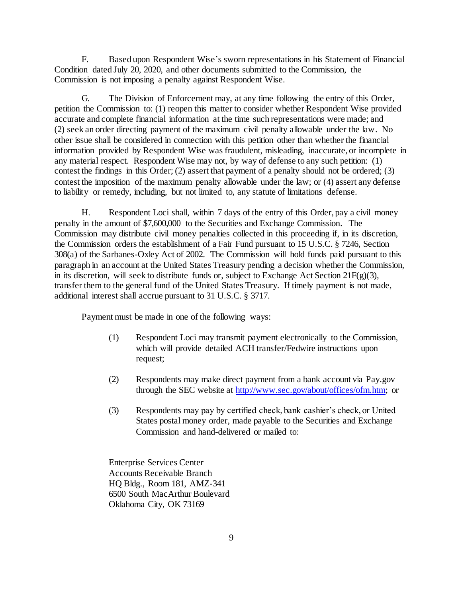F. Based upon Respondent Wise's sworn representations in his Statement of Financial Condition dated July 20, 2020, and other documents submitted to the Commission, the Commission is not imposing a penalty against Respondent Wise.

G. The Division of Enforcement may, at any time following the entry of this Order, petition the Commission to: (1) reopen this matter to consider whether Respondent Wise provided accurate and complete financial information at the time such representations were made; and (2) seek an order directing payment of the maximum civil penalty allowable under the law. No other issue shall be considered in connection with this petition other than whether the financial information provided by Respondent Wise was fraudulent, misleading, inaccurate, or incomplete in any material respect. Respondent Wise may not, by way of defense to any such petition: (1) contest the findings in this Order; (2) assert that payment of a penalty should not be ordered; (3) contest the imposition of the maximum penalty allowable under the law; or (4) assert any defense to liability or remedy, including, but not limited to, any statute of limitations defense.

H. Respondent Loci shall, within 7 days of the entry of this Order, pay a civil money penalty in the amount of \$7,600,000 to the Securities and Exchange Commission. The Commission may distribute civil money penalties collected in this proceeding if, in its discretion, the Commission orders the establishment of a Fair Fund pursuant to 15 U.S.C. § 7246, Section 308(a) of the Sarbanes-Oxley Act of 2002. The Commission will hold funds paid pursuant to this paragraph in an account at the United States Treasury pending a decision whether the Commission, in its discretion, will seek to distribute funds or, subject to Exchange Act Section 21F(g)(3), transfer them to the general fund of the United States Treasury. If timely payment is not made, additional interest shall accrue pursuant to 31 U.S.C. § 3717.

Payment must be made in one of the following ways:

- (1) Respondent Loci may transmit payment electronically to the Commission, which will provide detailed ACH transfer/Fedwire instructions upon request;
- (2) Respondents may make direct payment from a bank account via Pay.gov through the SEC website a[t http://www.sec.gov/about/offices/ofm.htm;](http://www.sec.gov/about/offices/ofm.htm) or
- (3) Respondents may pay by certified check, bank cashier's check, or United States postal money order, made payable to the Securities and Exchange Commission and hand-delivered or mailed to:

Enterprise Services Center Accounts Receivable Branch HQ Bldg., Room 181, AMZ-341 6500 South MacArthur Boulevard Oklahoma City, OK 73169